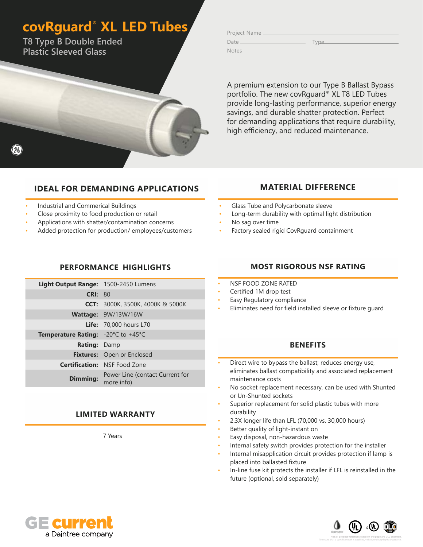### **covRguard**®  **XL LED Tubes**

**T8 Type B Double Ended Plastic Sleeved Glass**

| Project Name |      |
|--------------|------|
| Date         | Type |

Notes

A premium extension to our Type B Ballast Bypass portfolio. The new covRguard® XL T8 LED Tubes provide long-lasting performance, superior energy savings, and durable shatter protection. Perfect for demanding applications that require durability, high efficiency, and reduced maintenance.

### **IDEAL FOR DEMANDING APPLICATIONS**

#### • Industrial and Commerical Buildings

- Close proximity to food production or retail
- Applications with shatter/contamination concerns
- Added protection for production/ employees/customers

#### **PERFORMANCE HIGHLIGHTS**

| Light Output Range: 1500-2450 Lumens                          |                                               |
|---------------------------------------------------------------|-----------------------------------------------|
| CRI: 80                                                       |                                               |
|                                                               | <b>CCT:</b> 3000K, 3500K, 4000K & 5000K       |
|                                                               | Wattage: 9W/13W/16W                           |
|                                                               | <b>Life:</b> 70,000 hours L70                 |
| <b>Temperature Rating:</b> $-20^{\circ}$ C to $+45^{\circ}$ C |                                               |
| <b>Rating: Damp</b>                                           |                                               |
|                                                               | <b>Fixtures:</b> Open or Enclosed             |
|                                                               | <b>Certification: NSF Food Zone</b>           |
| <b>Dimming:</b>                                               | Power Line (contact Current for<br>more info) |

#### **LIMITED WARRANTY**

7 Years

# **MOST RIGOROUS NSF RATING**

• Long-term durability with optimal light distribution

**MATERIAL DIFFERENCE**

• Factory sealed rigid CovRguard containment

• Glass Tube and Polycarbonate sleeve

• NSF FOOD ZONE RATED

• No sag over time

- Certified 1M drop test
- Easy Regulatory compliance
- Eliminates need for field installed sleeve or fixture guard

#### **BENEFITS**

- Direct wire to bypass the ballast; reduces energy use, eliminates ballast compatibility and associated replacement maintenance costs
- No socket replacement necessary, can be used with Shunted or Un-Shunted sockets
- Superior replacement for solid plastic tubes with more durability
- 2.3X longer life than LFL (70,000 vs. 30,000 hours)
- Better quality of light-instant on
- Easy disposal, non-hazardous waste
- Internal safety switch provides protection for the installer
- Internal misapplication circuit provides protection if lamp is placed into ballasted fixture
- In-line fuse kit protects the installer if LFL is reinstalled in the future (optional, sold separately)